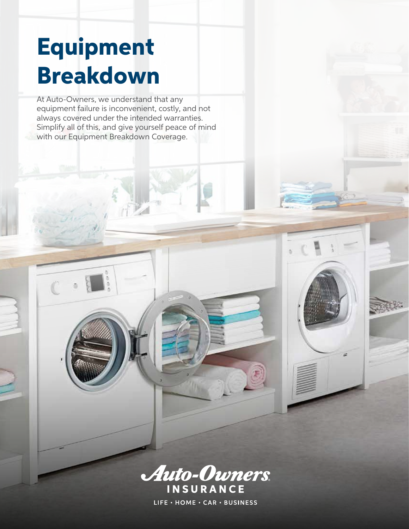# Equipment Breakdown

m

At Auto-Owners, we understand that any equipment failure is inconvenient, costly, and not always covered under the intended warranties. Simplify all of this, and give yourself peace of mind with our Equipment Breakdown Coverage.



LIFE · HOME · CAR · BUSINESS